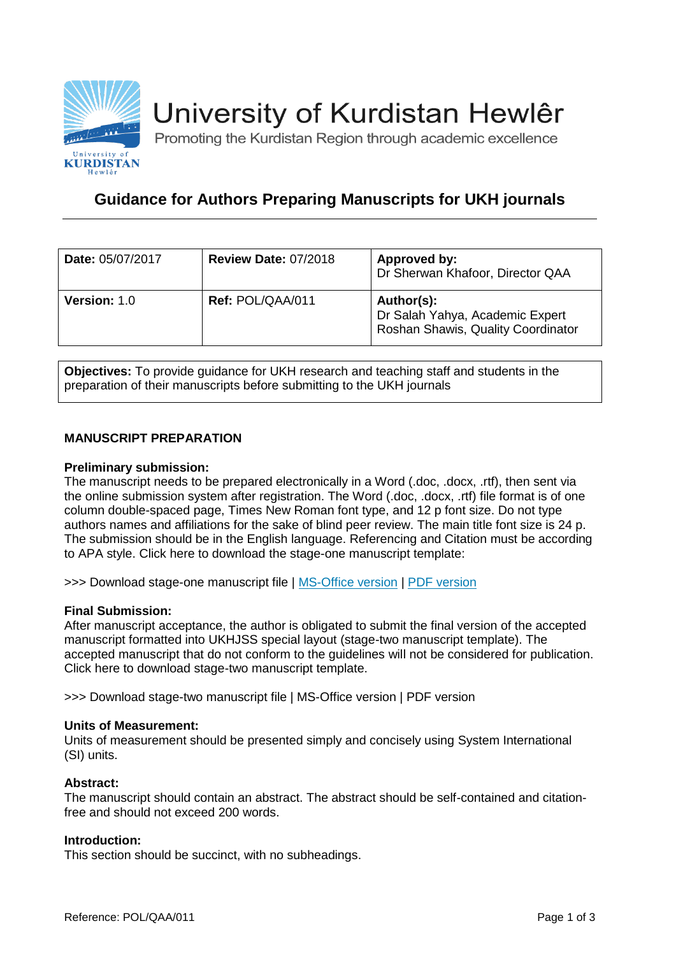

# University of Kurdistan Hewlêr

Promoting the Kurdistan Region through academic excellence

# **Guidance for Authors Preparing Manuscripts for UKH journals**

| Date: 05/07/2017    | <b>Review Date: 07/2018</b> | Approved by:<br>Dr Sherwan Khafoor, Director QAA                                    |
|---------------------|-----------------------------|-------------------------------------------------------------------------------------|
| <b>Version: 1.0</b> | Ref: POL/QAA/011            | Author(s):<br>Dr Salah Yahya, Academic Expert<br>Roshan Shawis, Quality Coordinator |

**Objectives:** To provide guidance for UKH research and teaching staff and students in the preparation of their manuscripts before submitting to the UKH journals

# **MANUSCRIPT PREPARATION**

# **Preliminary submission:**

The manuscript needs to be prepared electronically in a Word (.doc, .docx, .rtf), then sent via the online submission system after registration. The Word (.doc, .docx, .rtf) file format is of one column double-spaced page, Times New Roman font type, and 12 p font size. Do not type authors names and affiliations for the sake of blind peer review. The main title font size is 24 p. The submission should be in the English language. Referencing and Citation must be according to APA style. Click here to download the stage-one manuscript template:

>>> Download stage-one manuscript file | [MS-Office version](https://journals.ukh.edu.krd/jtemp/UKHJSS.TEMP01.dotx) | [PDF version](https://journals.ukh.edu.krd/jtemp/UKHJSS.TEMP01.pdf)

# **Final Submission:**

After manuscript acceptance, the author is obligated to submit the final version of the accepted manuscript formatted into UKHJSS special layout (stage-two manuscript template). The accepted manuscript that do not conform to the guidelines will not be considered for publication. Click here to download stage-two manuscript template.

>>> Download stage-two manuscript file | MS-Office version | PDF version

#### **Units of Measurement:**

Units of measurement should be presented simply and concisely using System International (SI) units.

#### **Abstract:**

The manuscript should contain an abstract. The abstract should be self-contained and citationfree and should not exceed 200 words.

# **Introduction:**

This section should be succinct, with no subheadings.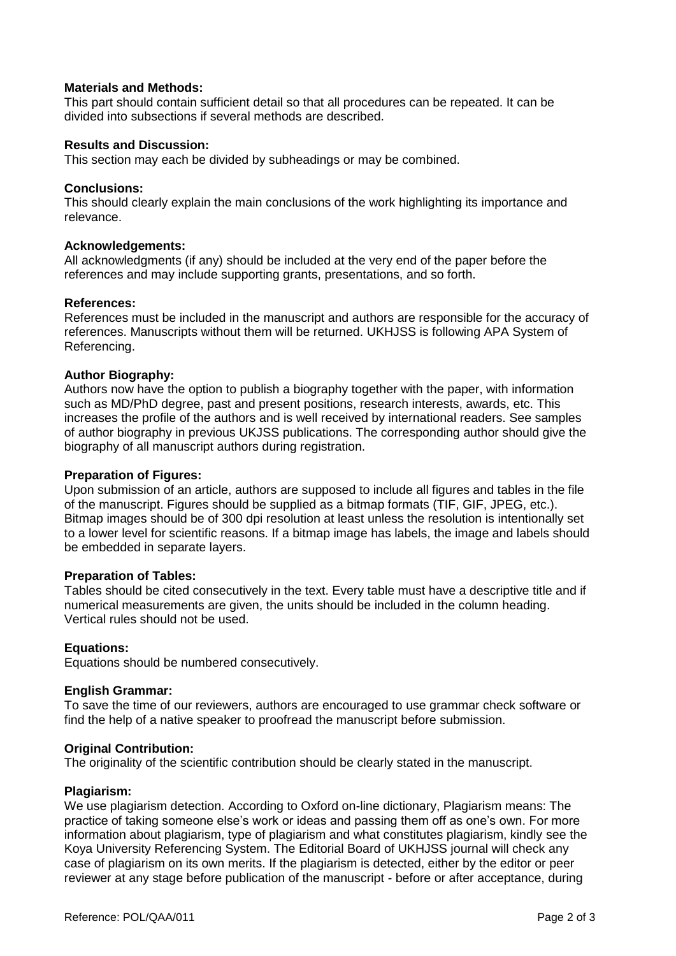# **Materials and Methods:**

This part should contain sufficient detail so that all procedures can be repeated. It can be divided into subsections if several methods are described.

#### **Results and Discussion:**

This section may each be divided by subheadings or may be combined.

# **Conclusions:**

This should clearly explain the main conclusions of the work highlighting its importance and relevance.

#### **Acknowledgements:**

All acknowledgments (if any) should be included at the very end of the paper before the references and may include supporting grants, presentations, and so forth.

#### **References:**

References must be included in the manuscript and authors are responsible for the accuracy of references. Manuscripts without them will be returned. UKHJSS is following APA System of Referencing.

# **Author Biography:**

Authors now have the option to publish a biography together with the paper, with information such as MD/PhD degree, past and present positions, research interests, awards, etc. This increases the profile of the authors and is well received by international readers. See samples of author biography in previous UKJSS publications. The corresponding author should give the biography of all manuscript authors during registration.

#### **Preparation of Figures:**

Upon submission of an article, authors are supposed to include all figures and tables in the file of the manuscript. Figures should be supplied as a bitmap formats (TIF, GIF, JPEG, etc.). Bitmap images should be of 300 dpi resolution at least unless the resolution is intentionally set to a lower level for scientific reasons. If a bitmap image has labels, the image and labels should be embedded in separate layers.

#### **Preparation of Tables:**

Tables should be cited consecutively in the text. Every table must have a descriptive title and if numerical measurements are given, the units should be included in the column heading. Vertical rules should not be used.

#### **Equations:**

Equations should be numbered consecutively.

#### **English Grammar:**

To save the time of our reviewers, authors are encouraged to use grammar check software or find the help of a native speaker to proofread the manuscript before submission.

#### **Original Contribution:**

The originality of the scientific contribution should be clearly stated in the manuscript.

#### **Plagiarism:**

We use plagiarism detection. According to Oxford on-line dictionary, Plagiarism means: The practice of taking someone else's work or ideas and passing them off as one's own. For more information about plagiarism, type of plagiarism and what constitutes plagiarism, kindly see the Koya University Referencing System. The Editorial Board of UKHJSS journal will check any case of plagiarism on its own merits. If the plagiarism is detected, either by the editor or peer reviewer at any stage before publication of the manuscript - before or after acceptance, during